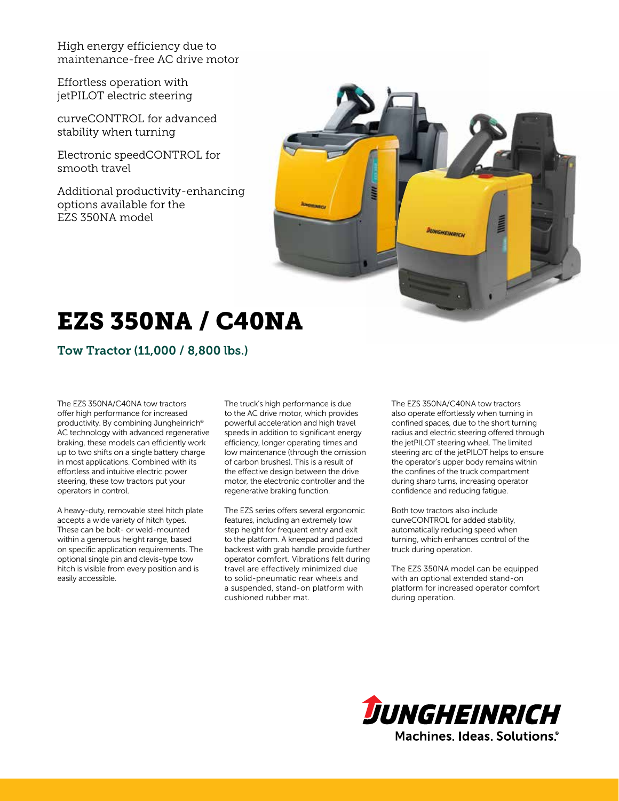High energy efficiency due to maintenance-free AC drive motor

Effortless operation with jetPILOT electric steering

curveCONTROL for advanced stability when turning

Electronic speedCONTROL for smooth travel

Additional productivity-enhancing options available for the EZS 350NA model



# EZS 350NA / C40NA

Tow Tractor (11,000 / 8,800 lbs.)

The EZS 350NA/C40NA tow tractors offer high performance for increased productivity. By combining Jungheinrich® AC technology with advanced regenerative braking, these models can efficiently work up to two shifts on a single battery charge in most applications. Combined with its effortless and intuitive electric power steering, these tow tractors put your operators in control.

A heavy-duty, removable steel hitch plate accepts a wide variety of hitch types. These can be bolt- or weld-mounted within a generous height range, based on specific application requirements. The optional single pin and clevis-type tow hitch is visible from every position and is easily accessible.

The truck's high performance is due to the AC drive motor, which provides powerful acceleration and high travel speeds in addition to significant energy efficiency, longer operating times and low maintenance (through the omission of carbon brushes). This is a result of the effective design between the drive motor, the electronic controller and the regenerative braking function.

The EZS series offers several ergonomic features, including an extremely low step height for frequent entry and exit to the platform. A kneepad and padded backrest with grab handle provide further operator comfort. Vibrations felt during travel are effectively minimized due to solid-pneumatic rear wheels and a suspended, stand-on platform with cushioned rubber mat.

The EZS 350NA/C40NA tow tractors also operate effortlessly when turning in confined spaces, due to the short turning radius and electric steering offered through the jetPILOT steering wheel. The limited steering arc of the jetPILOT helps to ensure the operator's upper body remains within the confines of the truck compartment during sharp turns, increasing operator confidence and reducing fatigue.

Both tow tractors also include curveCONTROL for added stability, automatically reducing speed when turning, which enhances control of the truck during operation.

The EZS 350NA model can be equipped with an optional extended stand-on platform for increased operator comfort during operation.

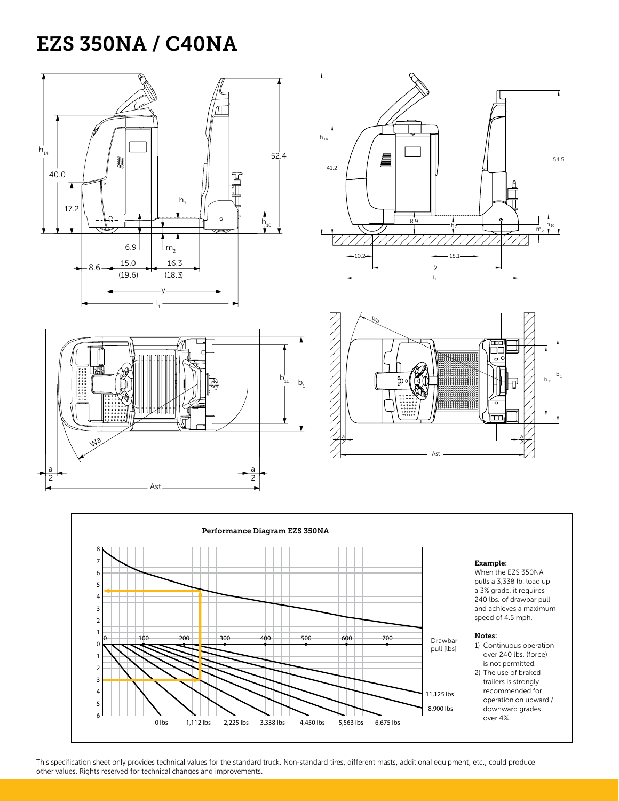### EZS 350NA / C40NA

 $\frac{1}{\sqrt{2}}$ 

Ast

 $\backslash$ 

a 2 Wa





18.1

7.

y l 1



a  $\overline{\phantom{a}}$  2

When the EZS 350NA pulls a 3,338 lb. load up a 3% grade, it requires 240 lbs. of drawbar pull and achieves a maximum speed of 4.5 mph.

2

54.5

54.5

 $\mathsf{m}_2$ 

 $\overline{1}$ 

 $h_7$   $h_{10}$ 

 $\frac{1}{2}$ 

- 1) Continuous operation over 240 lbs. (force) is not permitted.
- 2) The use of braked trailers is strongly recommended for operation on upward / downward grades over 4%.

This specification sheet only provides technical values for the standard truck. Non-standard tires, different masts, additional equipment, etc., could produce other values. Rights reserved for technical changes and improvements.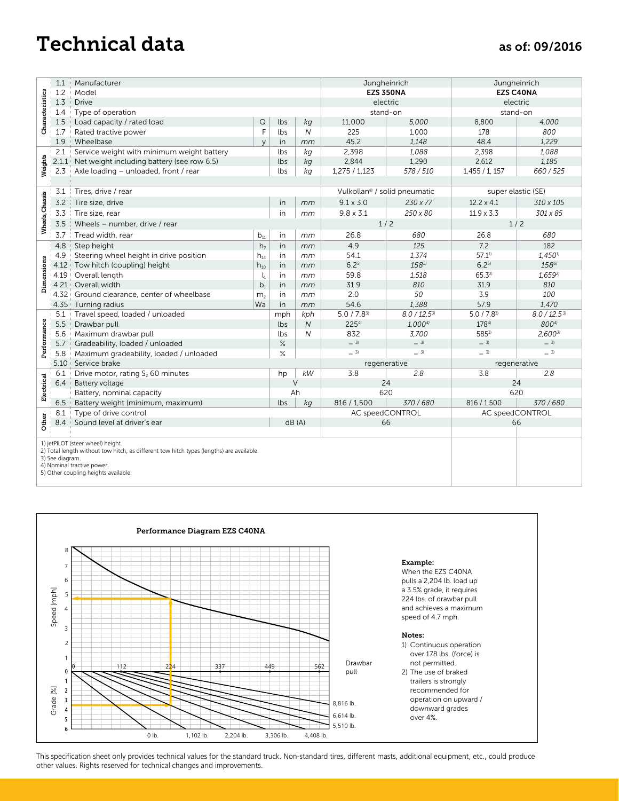### Technical data as of: 09/2016

|                 | 1.1                                                                                                                                                                                                                    | Manufacturer                                  | Jungheinrich                          |              | Jungheinrich   |                                          |                    |                    |                       |
|-----------------|------------------------------------------------------------------------------------------------------------------------------------------------------------------------------------------------------------------------|-----------------------------------------------|---------------------------------------|--------------|----------------|------------------------------------------|--------------------|--------------------|-----------------------|
|                 | 1.2                                                                                                                                                                                                                    | Model                                         |                                       |              |                | <b>EZS 350NA</b>                         |                    | <b>EZS C40NA</b>   |                       |
| Characteristics | 1.3                                                                                                                                                                                                                    | <b>Drive</b>                                  |                                       |              |                | electric                                 |                    | electric           |                       |
|                 | 1.4                                                                                                                                                                                                                    | Type of operation                             |                                       |              |                | stand-on                                 |                    | stand-on           |                       |
|                 | 1.5                                                                                                                                                                                                                    | Load capacity / rated load                    | Q                                     | lbs          | kg             | 11,000                                   | 5,000              | 8,800              | 4,000                 |
|                 | 1.7                                                                                                                                                                                                                    | Rated tractive power                          | F                                     | lbs          | $\overline{N}$ | 225                                      | 1,000              | 178                | 800                   |
|                 | 1.9                                                                                                                                                                                                                    | Wheelbase                                     | $\vee$                                | in           | mm             | 45.2                                     | 1,148              | 48.4               | 1,229                 |
| Weights         | 2.1                                                                                                                                                                                                                    | Service weight with minimum weight battery    |                                       | lbs          | kg             | 2,398                                    | 1,088              | 2,398              | 1,088                 |
|                 | 2.1.1                                                                                                                                                                                                                  | Net weight including battery (see row 6.5)    |                                       | lbs          | kg             | 2,844                                    | 1,290              | 2,612              | 1.185                 |
|                 | 2.3                                                                                                                                                                                                                    | Axle loading - unloaded, front / rear         |                                       | lbs          | kg             | 1,275 / 1,123                            | 578 / 510          | 1,455/1,157        | 660/525               |
|                 |                                                                                                                                                                                                                        |                                               |                                       |              |                |                                          |                    |                    |                       |
| Wheels, Chassis | 3.1                                                                                                                                                                                                                    | Tires, drive / rear                           |                                       |              |                | Vulkollan <sup>®</sup> / solid pneumatic |                    | super elastic (SE) |                       |
|                 | 3.2                                                                                                                                                                                                                    | Tire size, drive                              |                                       | in           | mm             | $9.1 \times 3.0$                         | $230 \times 77$    | $12.2 \times 4.1$  | 310 x 105             |
|                 | 3.3                                                                                                                                                                                                                    | Tire size, rear                               |                                       | in           | mm             | $9.8 \times 3.1$                         | 250 x 80           | $11.9 \times 3.3$  | 301 x 85              |
|                 | 3.5                                                                                                                                                                                                                    | Wheels - number, drive / rear                 |                                       |              |                | 1/2                                      |                    | 1/2                |                       |
|                 | 3.7                                                                                                                                                                                                                    | Tread width, rear                             | $b_{11}$                              | in           | mm             | 26.8                                     | 680                | 26.8               | 680                   |
| Dimensions      | 4.8                                                                                                                                                                                                                    | Step height                                   | h <sub>7</sub>                        | in           | mm             | 4.9                                      | 125                | 7.2                | 182                   |
|                 | 4.9                                                                                                                                                                                                                    | Steering wheel height in drive position       | $\mathsf{h}_{\scriptscriptstyle{14}}$ | in           | mm             | 54.1                                     | 1,374              | 57.11              | $1,450$ <sup>1)</sup> |
|                 |                                                                                                                                                                                                                        | 4.12 Tow hitch (coupling) height              | $\mathsf{h}_{\mathsf{10}}$            | in           | mm             | 6.25                                     | 1585)              | 6.25               | 1585)                 |
|                 |                                                                                                                                                                                                                        | 4.19 Overall length                           | $\mathsf{l}_1$                        | in           | mm             | 59.8                                     | 1,518              | 65.32              | 1,6592                |
|                 | $4.21 +$                                                                                                                                                                                                               | Overall width                                 | b <sub>1</sub>                        | in           | mm             | 31.9                                     | 810                | 31.9               | 810                   |
|                 |                                                                                                                                                                                                                        | 4.32 Ground clearance, center of wheelbase    | m <sub>2</sub>                        | in           | mm             | 2.0                                      | 50                 | 3.9                | 100                   |
|                 | 4.35                                                                                                                                                                                                                   | Turning radius                                | Wa                                    | in           | mm             | 54.6                                     | 1,388              | 57.9               | 1,470                 |
|                 | 5.1                                                                                                                                                                                                                    | Travel speed, loaded / unloaded               |                                       |              | kph            | $5.0 / 7.8^{3}$                          | $8.0 / 12.5^{3}$   | $5.0 / 7.8^{3}$    | $8.0 / 12.5$ 3)       |
|                 | 5.5                                                                                                                                                                                                                    | Drawbar pull                                  |                                       |              | $\overline{N}$ | 225 <sup>4</sup>                         | 1.000 <sup>4</sup> | 1784)              | 8004)                 |
|                 | 5.6                                                                                                                                                                                                                    | Maximum drawbar pull                          |                                       | lbs          | N              | 832                                      | 3.700              | 5853)              | $2.600^{3}$           |
| Performance     | 5.7                                                                                                                                                                                                                    | Gradeability, loaded / unloaded               |                                       | $\%$<br>$\%$ |                | $-3$                                     | $-31$              | $-3$               | $-3$                  |
|                 | 5.8                                                                                                                                                                                                                    | Maximum gradeability, loaded / unloaded       |                                       |              |                | $-3$                                     | $-31$              | $-3$               | $-3$                  |
|                 |                                                                                                                                                                                                                        | 5.10 Service brake                            |                                       |              |                | regenerative                             |                    | regenerative       |                       |
| Electrical      | 6.1                                                                                                                                                                                                                    | Drive motor, rating S <sub>2</sub> 60 minutes |                                       | hp           | kW             | 3.8                                      | 2.8                | 3.8                | 2.8                   |
|                 | 6.4                                                                                                                                                                                                                    | Battery voltage                               |                                       |              | $\vee$         | 24                                       |                    | 24                 |                       |
|                 |                                                                                                                                                                                                                        | Battery, nominal capacity                     |                                       | Ah           |                | 620                                      |                    | 620                |                       |
|                 | 6.5                                                                                                                                                                                                                    | Battery weight (minimum, maximum)             |                                       | lbs          | kg             | 816 / 1,500                              | 370/680            | 816 / 1,500        | 370/680               |
| Other           | 8.1                                                                                                                                                                                                                    | Type of drive control                         |                                       |              |                | AC speedCONTROL                          |                    | AC speedCONTROL    |                       |
|                 | 8.4                                                                                                                                                                                                                    | Sound level at driver's ear                   |                                       | dB(A)        |                | 66                                       |                    | 66                 |                       |
|                 |                                                                                                                                                                                                                        |                                               |                                       |              |                |                                          |                    |                    |                       |
|                 | 1) jetPILOT (steer wheel) height.<br>2) Total length without tow hitch, as different tow hitch types (lengths) are available.<br>3) See diagram.<br>4) Nominal tractive power.<br>5) Other coupling heights available. |                                               |                                       |              |                |                                          |                    |                    |                       |



This specification sheet only provides technical values for the standard truck. Non-standard tires, different masts, additional equipment, etc., could produce other values. Rights reserved for technical changes and improvements.